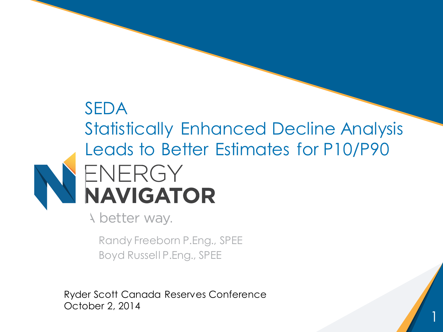# SEDA Statistically Enhanced Decline Analysis Leads to Better Estimates for P10/P90 ENERGY **NAVIGATOR**

1

A better way.

Randy Freeborn P.Eng., SPEE Boyd Russell P.Eng., SPEE

Ryder Scott Canada Reserves Conference October 2, 2014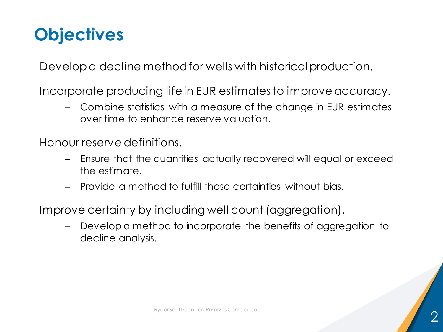## **Objectives**

Develop a decline method for wells with historical production.

Incorporate producing life in EUR estimates to improve accuracy.

– Combine statistics with a measure of the change in EUR estimates over time to enhance reserve valuation.

Honour reserve definitions.

- Ensure that the quantities actually recovered will equal or exceed the estimate.
- Provide a method to fulfill these certainties without bias.

Improve certainty by including well count (aggregation).

– Develop a method to incorporate the benefits of aggregation to decline analysis.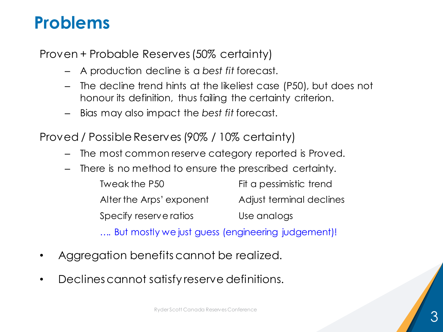## **Problems**

Proven + Probable Reserves (50% certainty)

- A production decline is a *best fit* forecast.
- The decline trend hints at the likeliest case (P50), but does not honour its definition, thus failing the certainty criterion.
- Bias may also impact the *best fit* forecast.

Proved / Possible Reserves (90% / 10% certainty)

- The most common reserve category reported is Proved.
- There is no method to ensure the prescribed certainty.

| Tweak the P50                                     | Fit a pessimistic trend  |
|---------------------------------------------------|--------------------------|
| Alter the Arps' exponent                          | Adjust terminal declines |
| Specify reserve ratios                            | Use analogs              |
| But mostly we just guess (engineering judgement)! |                          |

- Aggregation benefits cannot be realized.
- Declines cannot satisfy reserve definitions.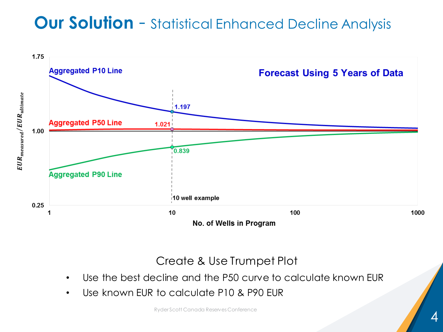## **Our Solution - Statistical Enhanced Decline Analysis**



Create & Use Trumpet Plot

- Use the best decline and the P50 curve to calculate known EUR
- Use known EUR to calculate P10 & P90 EUR

Ryder Scott Canada Reserves Conference 4 and 200 million and 200 million and 200 million and 200 million and 20<br>And 200 million and 200 million and 200 million and 200 million and 200 million and 200 million and 200 millio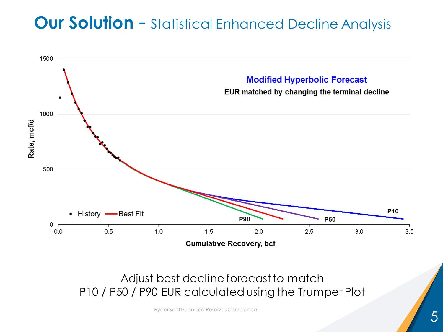## **Our Solution** - Statistical Enhanced Decline Analysis



Adjust best decline forecast to match P10 / P50 / P90 EUR calculated using the Trumpet Plot

Ryder Scott Canada Reserves Conference 5 and 200 million of the Conference 5 and 30 million of the Conference 5 and 30 million of the Conference 5 and 30 million of the Conference 5 and 30 million of the Conference 5 and 3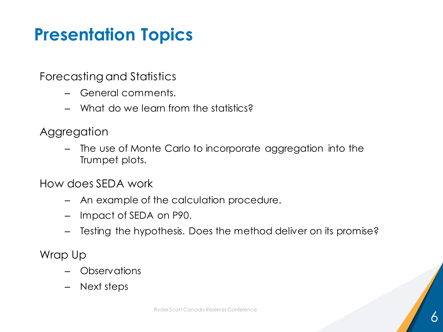## **Presentation Topics**

Forecasting and Statistics

- General comments.
- What do we learn from the statistics?
- **Aggregation** 
	- The use of Monte Carlo to incorporate aggregation into the Trumpet plots.

How does SEDA work

- An example of the calculation procedure.
- Impact of SEDA on P90.
- Testing the hypothesis. Does the method deliver on its promise?

Wrap Up

- Observations
- Next steps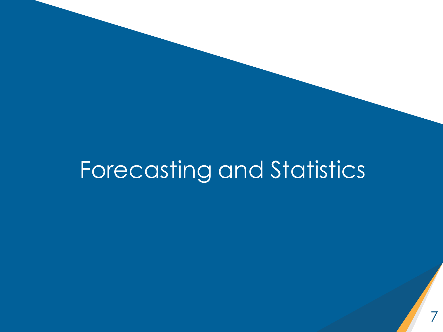# Forecasting and Statistics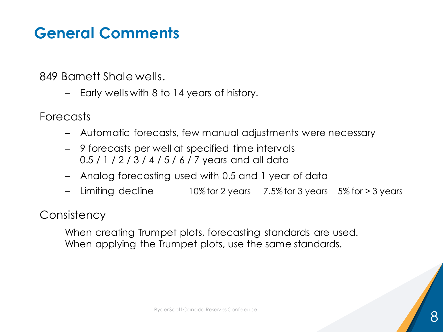### **General Comments**

849 Barnett Shale wells.

– Early wells with 8 to 14 years of history.

**Forecasts** 

- Automatic forecasts, few manual adjustments were necessary
- 9 forecasts per well at specified time intervals 0.5 / 1 / 2 / 3 / 4 / 5 / 6 / 7 years and all data
- Analog forecasting used with 0.5 and 1 year of data
- Limiting decline 10% for 2 years 7.5% for 3 years 5% for > 3 years

**Consistency** 

When creating Trumpet plots, forecasting standards are used. When applying the Trumpet plots, use the same standards.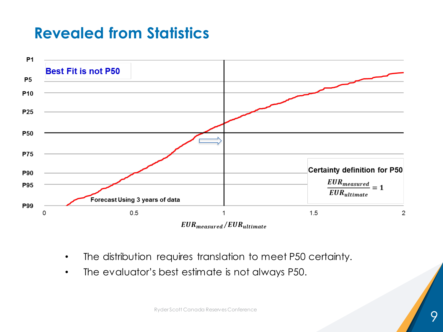

- The distribution requires translation to meet P50 certainty.
- The evaluator's best estimate is not always P50.

Ryder Scott Canada Reserves Conference 1999 - 1999 - 1999 - 1999 - 1999 - 1999 - 1999 - 1999 - 1999 - 1999 - 1<br>1999 - 1999 - 1999 - 1999 - 1999 - 1999 - 1999 - 1999 - 1999 - 1999 - 1999 - 1999 - 1999 - 1999 - 1999 - 1999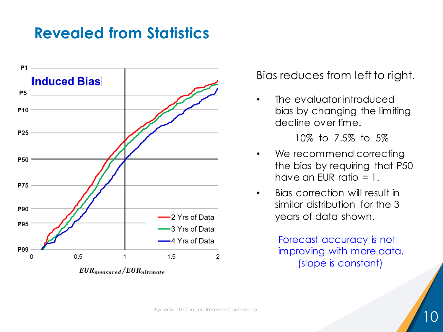

#### Bias reduces from left to right.

• The evaluator introduced bias by changing the limiting decline over time.

10% to 7.5% to 5%

- We recommend correcting the bias by requiring that P50 have an EUR ratio  $= 1$ .
- Bias correction will result in similar distribution for the 3 years of data shown.

Forecast accuracy is not improving with more data. (slope is constant)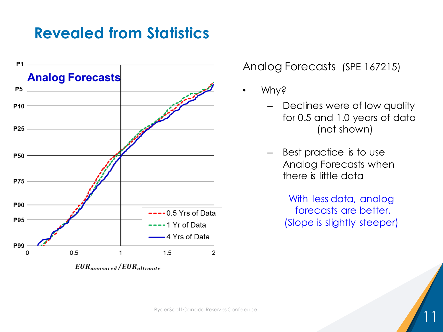

Analog Forecasts (SPE 167215)

- Why?
	- Declines were of low quality for 0.5 and 1.0 years of data (not shown)
	- Best practice is to use Analog Forecasts when there is little data

With less data, analog forecasts are better. (Slope is slightly steeper)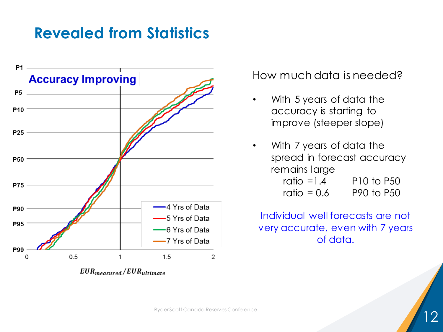

 $EUR_{measured}/EUR_{ultimate}$ 

#### How much data is needed?

- With 5 years of data the accuracy is starting to improve (steeper slope)
- With 7 years of data the spread in forecast accuracy remains large ratio  $=1.4$  P10 to P50 ratio  $= 0.6$  P90 to P50

Individual well forecasts are not very accurate, even with 7 years of data.

Ryder Scott Canada Reserves Conference 12 and 22 and 22 and 22 and 22 and 22 and 22 and 22 and 22 and 22 and 2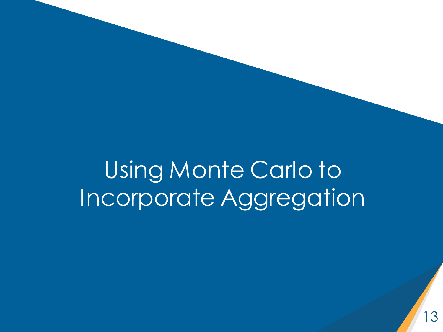Using Monte Carlo to Incorporate Aggregation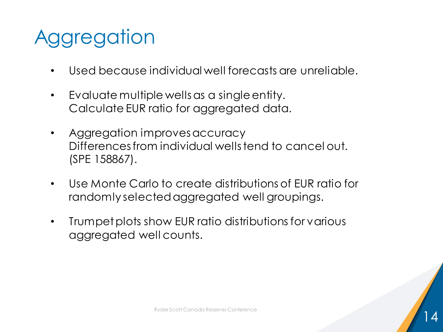# **Aggregation**

- Used because individual well forecasts are unreliable.
- Evaluate multiple wells as a single entity. Calculate EUR ratio for aggregated data.
- Aggregation improves accuracy Differences from individual wells tend to cancel out. (SPE 158867).
- Use Monte Carlo to create distributions of EUR ratio for randomly selected aggregated well groupings.
- Trumpet plots show EUR ratio distributions for various aggregated well counts.

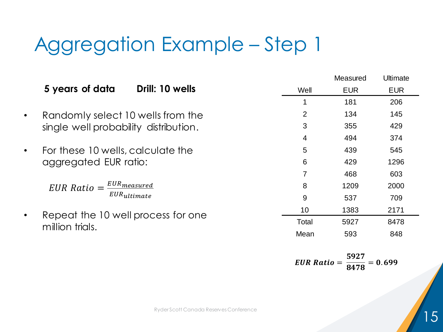# Aggregation Example – Step 1

|           |                                                       |                 | Measured   | <b>Ultimate</b> |
|-----------|-------------------------------------------------------|-----------------|------------|-----------------|
|           | 5 years of data<br>Drill: 10 wells                    | Well            | <b>EUR</b> | <b>EUR</b>      |
|           |                                                       |                 | 181        | 206             |
| $\bullet$ | Randomly select 10 wells from the                     | 2               | 134        | 145             |
|           | single well probability distribution.                 | 3               | 355        | 429             |
|           |                                                       | $\overline{4}$  | 494        | 374             |
| $\bullet$ | For these 10 wells, calculate the                     | 5               | 439        | 545             |
|           | aggregated EUR ratio:                                 | 6               | 429        | 1296            |
|           |                                                       | 7               | 468        | 603             |
|           | $EUR \ Rate = \frac{EUR \ measure d}{EUR}$            | 8               | 1209       | 2000            |
|           | $EUR_{ultimate}$                                      | 9               | 537        | 709             |
| $\bullet$ | Repeat the 10 well process for one<br>million trials. | 10 <sup>°</sup> | 1383       | 2171            |
|           |                                                       | Total           | 5927       | 8478            |
|           |                                                       | Mean            | 593        | 848             |
|           |                                                       |                 |            |                 |

 $EUR$  Ratio  $=$ 5  $\frac{3478}{8478} = 0$ 

Ryder Scott Canada Reserves Conference 15 and 15 and 15 and 15 and 15 and 15 and 15 and 15 and 15 and 15 and 15 and 15 and 15 and 15 and 15 and 15 and 15 and 15 and 15 and 15 and 15 and 15 and 15 and 15 and 15 and 15 and 1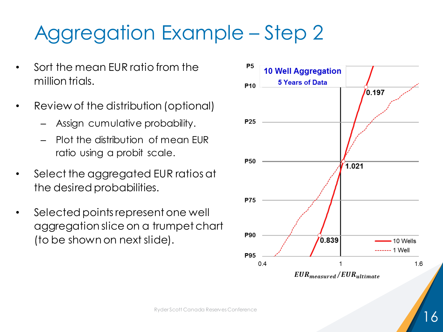# Aggregation Example – Step 2

- Sort the mean EUR ratio from the million trials.
- Review of the distribution (optional)
	- Assign cumulative probability.
	- Plot the distribution of mean EUR ratio using a probit scale.
- Select the aggregated EUR ratios at the desired probabilities.
- Selected points represent one well aggregation slice on a trumpet chart (to be shown on next slide).

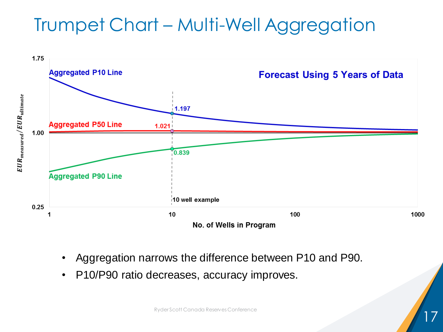## Trumpet Chart – Multi-Well Aggregation



- Aggregation narrows the difference between P10 and P90.
- P10/P90 ratio decreases, accuracy improves.

Ryder Scott Canada Reserves Conference 17 (17 May 17 May 17 May 17 May 17 May 17 May 17 May 17 May 17 May 17 May 17 May 17 May 17 May 17 May 17 May 17 May 17 May 17 May 17 May 17 May 17 May 17 May 17 May 17 May 17 May 17 M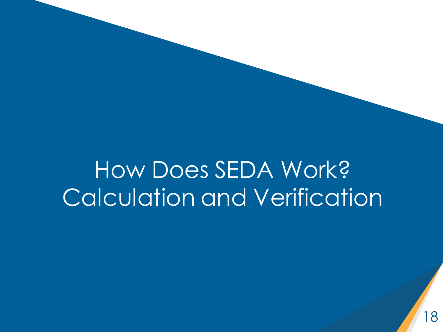# How Does SEDA Work? Calculation and Verification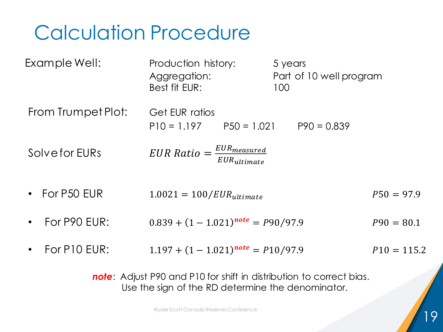# Calculation Procedure

| Example Well:        | Production history:<br>Aggregation:<br>Best fit EUR: | 5 years<br>Part of 10 well program<br>100 |               |
|----------------------|------------------------------------------------------|-------------------------------------------|---------------|
| From Trumpet Plot:   | Get EUR ratios<br>$P10 = 1.197$ $P50 = 1.021$        | $P90 = 0.839$                             |               |
| Solve for EURs       | $EUR Ratio = \frac{EUR_{measured}}{EUR_{ultimate}}$  |                                           |               |
| • For P50 EUR        | $1.0021 = 100/EUR_{ultime}$                          |                                           | $P50 = 97.9$  |
| For P90 EUR:         | $0.839 + (1 - 1.021)^{note} = P90/97.9$              |                                           | $P90 = 80.1$  |
| $\cdot$ For P10 EUR: | $1.197 + (1 - 1.021)^{note} = P10/97.9$              |                                           | $P10 = 115.2$ |
|                      |                                                      |                                           |               |

*note*: Adjust P90 and P10 for shift in distribution to correct bias. Use the sign of the RD determine the denominator.

Ryder Scott Canada Reserves Conference 19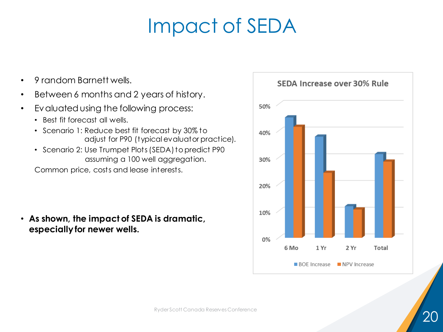# Impact of SEDA

- 9 random Barnett wells.
- Between 6 months and 2 years of history.
- Evaluated using the following process:
	- Best fit forecast all wells.
	- Scenario 1: Reduce best fit forecast by 30% to adjust for P90 (typical evaluator practice).
	- Scenario 2: Use Trumpet Plots (SEDA) to predict P90 assuming a 100 well aggregation.

Common price, costs and lease interests.

• **As shown, the impact of SEDA is dramatic, especially for newer wells.**

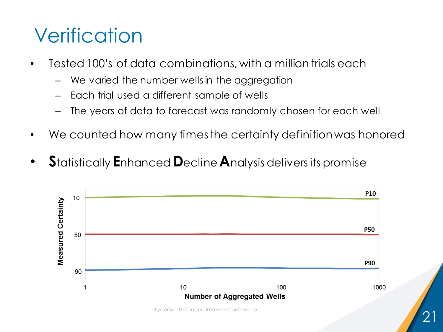# **Verification**

- Tested 100's of data combinations, with a million trials each
	- We varied the number wells in the aggregation
	- Each trial used a different sample of wells
	- The years of data to forecast was randomly chosen for each well
- We counted how many times the certainty definition was honored
- **S**tatistically **E**nhanced **D**ecline **A**nalysis delivers its promise

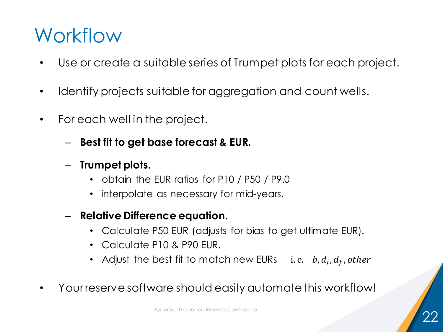## Workflow

- Use or create a suitable series of Trumpet plots for each project.
- Identify projects suitable for aggregation and count wells.
- For each well in the project.
	- **Best fit to get base forecast & EUR.**
	- **Trumpet plots.**
		- obtain the EUR ratios for P10 / P50 / P9.0
		- interpolate as necessary for mid-years.
	- **Relative Difference equation.**
		- Calculate P50 EUR (adjusts for bias to get ultimate EUR).
		- Calculate P10 & P90 EUR.
		- Adjust the best fit to match new EURs  $\quad$  i.e.  $\;$  b,  $d_i$ ,  $d_f$ , other
- Your reserve software should easily automate this workflow!

Ryder Scott Canada Reserves Conference 22 and 22 and 22 and 22 and 22 and 22 and 22 and 22 and 22 and 22 and 22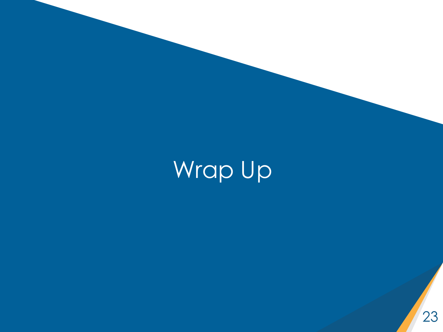Wrap Up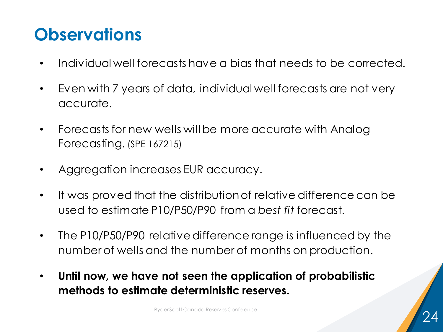## **Observations**

- Individual well forecasts have a bias that needs to be corrected.
- Even with 7 years of data, individual well forecasts are not very accurate.
- Forecasts for new wells will be more accurate with Analog Forecasting. (SPE 167215)
- Aggregation increases EUR accuracy.
- It was proved that the distribution of relative difference can be used to estimate P10/P50/P90 from a *best fit* forecast.
- The P10/P50/P90 relative difference range is influenced by the number of wells and the number of months on production.
- **Until now, we have not seen the application of probabilistic methods to estimate deterministic reserves.**

Ryder Scott Canada Reserves Conference 24 and 24 and 24 and 24 and 24 and 24 and 24 and 24 and 24 and 24 and 24  $\sim$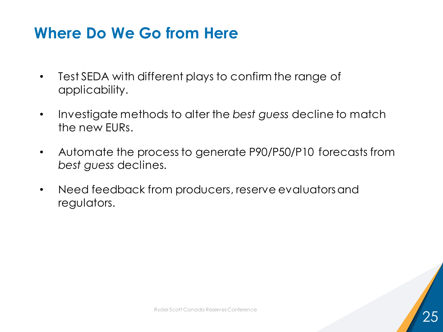### **Where Do We Go from Here**

- Test SEDA with different plays to confirm the range of applicability.
- Investigate methods to alter the *best guess* decline to match the new EURs.
- Automate the process to generate P90/P50/P10 forecasts from *best guess* declines.
- Need feedback from producers, reserve evaluators and regulators.